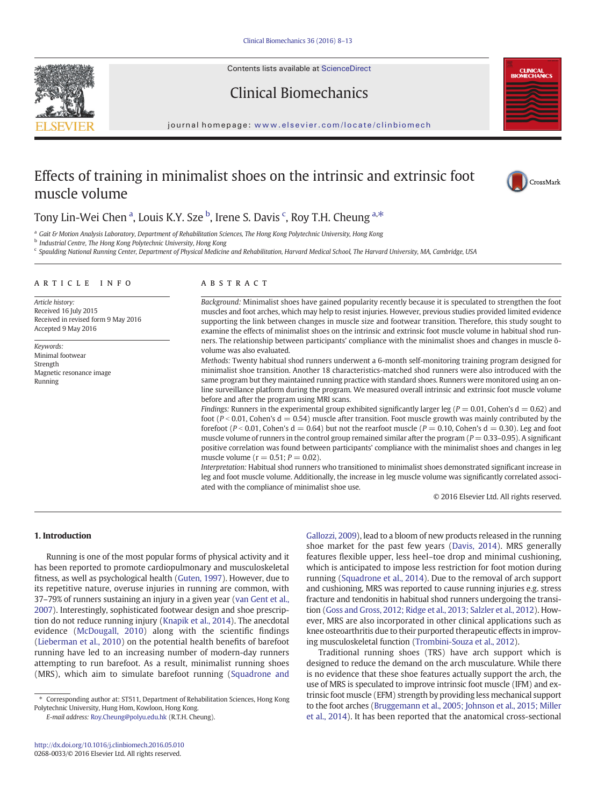Contents lists available at ScienceDirect







#### journal homepage: <www.elsevier.com/locate/clinbiomech>

# Effects of training in minimalist shoes on the intrinsic and extrinsic foot muscle volume



## Tony Lin-Wei Chen <sup>a</sup>, Louis K.Y. Sze <sup>b</sup>, Irene S. Davis <sup>c</sup>, Roy T.H. Cheung <sup>a,\*</sup>

<sup>a</sup> Gait & Motion Analysis Laboratory, Department of Rehabilitation Sciences, The Hong Kong Polytechnic University, Hong Kong

**b** Industrial Centre, The Hong Kong Polytechnic University, Hong Kong

<sup>c</sup> Spaulding National Running Center, Department of Physical Medicine and Rehabilitation, Harvard Medical School, The Harvard University, MA, Cambridge, USA

#### article info abstract

Article history: Received 16 July 2015 Received in revised form 9 May 2016 Accepted 9 May 2016

Keywords: Minimal footwear **Strength** Magnetic resonance image Running

Background: Minimalist shoes have gained popularity recently because it is speculated to strengthen the foot muscles and foot arches, which may help to resist injuries. However, previous studies provided limited evidence supporting the link between changes in muscle size and footwear transition. Therefore, this study sought to examine the effects of minimalist shoes on the intrinsic and extrinsic foot muscle volume in habitual shod runners. The relationship between participants' compliance with the minimalist shoes and changes in muscle õvolume was also evaluated.

Methods: Twenty habitual shod runners underwent a 6-month self-monitoring training program designed for minimalist shoe transition. Another 18 characteristics-matched shod runners were also introduced with the same program but they maintained running practice with standard shoes. Runners were monitored using an online surveillance platform during the program. We measured overall intrinsic and extrinsic foot muscle volume before and after the program using MRI scans.

Findings: Runners in the experimental group exhibited significantly larger leg ( $P = 0.01$ , Cohen's  $d = 0.62$ ) and foot ( $P < 0.01$ , Cohen's d = 0.54) muscle after transition. Foot muscle growth was mainly contributed by the forefoot ( $P < 0.01$ , Cohen's d = 0.64) but not the rearfoot muscle ( $P = 0.10$ , Cohen's d = 0.30). Leg and foot muscle volume of runners in the control group remained similar after the program  $(P = 0.33 - 0.95)$ . A significant positive correlation was found between participants' compliance with the minimalist shoes and changes in leg muscle volume ( $r = 0.51$ ;  $P = 0.02$ ).

Interpretation: Habitual shod runners who transitioned to minimalist shoes demonstrated significant increase in leg and foot muscle volume. Additionally, the increase in leg muscle volume was significantly correlated associated with the compliance of minimalist shoe use.

© 2016 Elsevier Ltd. All rights reserved.

#### 1. Introduction

Running is one of the most popular forms of physical activity and it has been reported to promote cardiopulmonary and musculoskeletal fitness, as well as psychological health [\(Guten, 1997\)](#page-4-0). However, due to its repetitive nature, overuse injuries in running are common, with 37–79% of runners sustaining an injury in a given year ([van Gent et al.,](#page-5-0) [2007\)](#page-5-0). Interestingly, sophisticated footwear design and shoe prescription do not reduce running injury [\(Knapik et al., 2014](#page-4-0)). The anecdotal evidence ([McDougall, 2010](#page-4-0)) along with the scientific findings [\(Lieberman et al., 2010](#page-4-0)) on the potential health benefits of barefoot running have led to an increasing number of modern-day runners attempting to run barefoot. As a result, minimalist running shoes (MRS), which aim to simulate barefoot running ([Squadrone and](#page-5-0)

E-mail address: [Roy.Cheung@polyu.edu.hk](mailto:Roy.Cheung@polyu.edu.hk) (R.T.H. Cheung).

[Gallozzi, 2009\)](#page-5-0), lead to a bloom of new products released in the running shoe market for the past few years [\(Davis, 2014](#page-4-0)). MRS generally features flexible upper, less heel–toe drop and minimal cushioning, which is anticipated to impose less restriction for foot motion during running [\(Squadrone et al., 2014](#page-5-0)). Due to the removal of arch support and cushioning, MRS was reported to cause running injuries e.g. stress fracture and tendonitis in habitual shod runners undergoing the transition [\(Goss and Gross, 2012; Ridge et al., 2013; Salzler et al., 2012\)](#page-4-0). However, MRS are also incorporated in other clinical applications such as knee osteoarthritis due to their purported therapeutic effects in improving musculoskeletal function [\(Trombini-Souza et al., 2012](#page-5-0)).

Traditional running shoes (TRS) have arch support which is designed to reduce the demand on the arch musculature. While there is no evidence that these shoe features actually support the arch, the use of MRS is speculated to improve intrinsic foot muscle (IFM) and extrinsic foot muscle (EFM) strength by providing less mechanical support to the foot arches [\(Bruggemann et al., 2005; Johnson et al., 2015; Miller](#page-4-0) [et al., 2014\)](#page-4-0). It has been reported that the anatomical cross-sectional

<sup>⁎</sup> Corresponding author at: ST511, Department of Rehabilitation Sciences, Hong Kong Polytechnic University, Hung Hom, Kowloon, Hong Kong.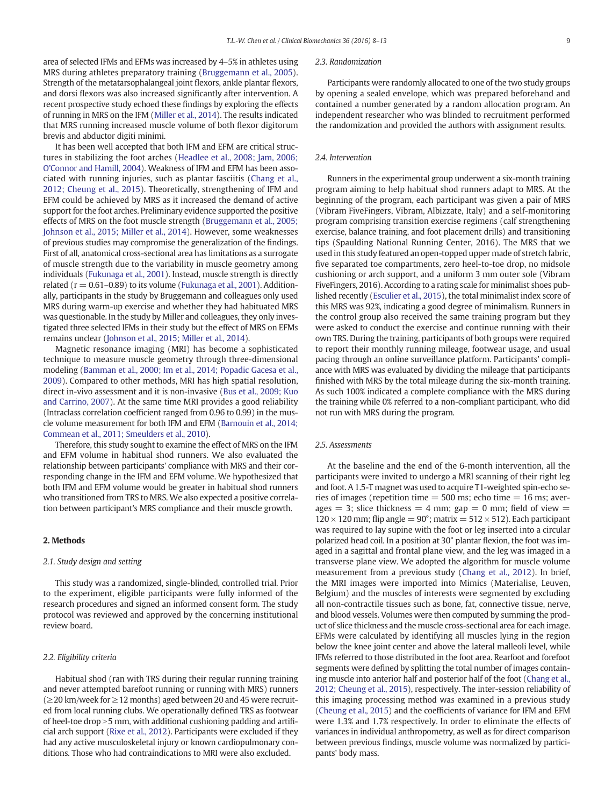area of selected IFMs and EFMs was increased by 4–5% in athletes using MRS during athletes preparatory training [\(Bruggemann et al., 2005](#page-4-0)). Strength of the metatarsophalangeal joint flexors, ankle plantar flexors, and dorsi flexors was also increased significantly after intervention. A recent prospective study echoed these findings by exploring the effects of running in MRS on the IFM ([Miller et al., 2014](#page-4-0)). The results indicated that MRS running increased muscle volume of both flexor digitorum brevis and abductor digiti minimi.

It has been well accepted that both IFM and EFM are critical structures in stabilizing the foot arches ([Headlee et al., 2008; Jam, 2006;](#page-4-0) [O'Connor and Hamill, 2004\)](#page-4-0). Weakness of IFM and EFM has been associated with running injuries, such as plantar fasciitis [\(Chang et al.,](#page-4-0) [2012; Cheung et al., 2015](#page-4-0)). Theoretically, strengthening of IFM and EFM could be achieved by MRS as it increased the demand of active support for the foot arches. Preliminary evidence supported the positive effects of MRS on the foot muscle strength ([Bruggemann et al., 2005;](#page-4-0) [Johnson et al., 2015; Miller et al., 2014\)](#page-4-0). However, some weaknesses of previous studies may compromise the generalization of the findings. First of all, anatomical cross-sectional area has limitations as a surrogate of muscle strength due to the variability in muscle geometry among individuals [\(Fukunaga et al., 2001](#page-4-0)). Instead, muscle strength is directly related ( $r = 0.61 - 0.89$ ) to its volume ([Fukunaga et al., 2001\)](#page-4-0). Additionally, participants in the study by Bruggemann and colleagues only used MRS during warm-up exercise and whether they had habituated MRS was questionable. In the study by Miller and colleagues, they only investigated three selected IFMs in their study but the effect of MRS on EFMs remains unclear [\(Johnson et al., 2015; Miller et al., 2014](#page-4-0)).

Magnetic resonance imaging (MRI) has become a sophisticated technique to measure muscle geometry through three-dimensional modeling [\(Bamman et al., 2000; Im et al., 2014; Popadic Gacesa et al.,](#page-4-0) [2009\)](#page-4-0). Compared to other methods, MRI has high spatial resolution, direct in-vivo assessment and it is non-invasive ([Bus et al., 2009; Kuo](#page-4-0) [and Carrino, 2007](#page-4-0)). At the same time MRI provides a good reliability (Intraclass correlation coefficient ranged from 0.96 to 0.99) in the muscle volume measurement for both IFM and EFM ([Barnouin et al., 2014;](#page-4-0) [Commean et al., 2011; Smeulders et al., 2010](#page-4-0)).

Therefore, this study sought to examine the effect of MRS on the IFM and EFM volume in habitual shod runners. We also evaluated the relationship between participants' compliance with MRS and their corresponding change in the IFM and EFM volume. We hypothesized that both IFM and EFM volume would be greater in habitual shod runners who transitioned from TRS to MRS. We also expected a positive correlation between participant's MRS compliance and their muscle growth.

#### 2. Methods

#### 2.1. Study design and setting

This study was a randomized, single-blinded, controlled trial. Prior to the experiment, eligible participants were fully informed of the research procedures and signed an informed consent form. The study protocol was reviewed and approved by the concerning institutional review board.

#### 2.2. Eligibility criteria

Habitual shod (ran with TRS during their regular running training and never attempted barefoot running or running with MRS) runners  $(≥20$  km/week for  $≥12$  months) aged between 20 and 45 were recruited from local running clubs. We operationally defined TRS as footwear of heel-toe drop  $>$  5 mm, with additional cushioning padding and artificial arch support ([Rixe et al., 2012](#page-5-0)). Participants were excluded if they had any active musculoskeletal injury or known cardiopulmonary conditions. Those who had contraindications to MRI were also excluded.

#### 2.3. Randomization

Participants were randomly allocated to one of the two study groups by opening a sealed envelope, which was prepared beforehand and contained a number generated by a random allocation program. An independent researcher who was blinded to recruitment performed the randomization and provided the authors with assignment results.

#### 2.4. Intervention

Runners in the experimental group underwent a six-month training program aiming to help habitual shod runners adapt to MRS. At the beginning of the program, each participant was given a pair of MRS (Vibram FiveFingers, Vibram, Albizzate, Italy) and a self-monitoring program comprising transition exercise regimens (calf strengthening exercise, balance training, and foot placement drills) and transitioning tips (Spaulding National Running Center, 2016). The MRS that we used in this study featured an open-topped upper made of stretch fabric, five separated toe compartments, zero heel-to-toe drop, no midsole cushioning or arch support, and a uniform 3 mm outer sole (Vibram FiveFingers, 2016). According to a rating scale for minimalist shoes published recently [\(Esculier et al., 2015\)](#page-4-0), the total minimalist index score of this MRS was 92%, indicating a good degree of minimalism. Runners in the control group also received the same training program but they were asked to conduct the exercise and continue running with their own TRS. During the training, participants of both groups were required to report their monthly running mileage, footwear usage, and usual pacing through an online surveillance platform. Participants' compliance with MRS was evaluated by dividing the mileage that participants finished with MRS by the total mileage during the six-month training. As such 100% indicated a complete compliance with the MRS during the training while 0% referred to a non-compliant participant, who did not run with MRS during the program.

#### 2.5. Assessments

At the baseline and the end of the 6-month intervention, all the participants were invited to undergo a MRI scanning of their right leg and foot. A 1.5-T magnet was used to acquire T1-weighted spin-echo series of images (repetition time  $=$  500 ms; echo time  $=$  16 ms; averages  $= 3$ ; slice thickness  $= 4$  mm; gap  $= 0$  mm; field of view  $=$  $120 \times 120$  mm; flip angle = 90°; matrix =  $512 \times 512$ ). Each participant was required to lay supine with the foot or leg inserted into a circular polarized head coil. In a position at 30° plantar flexion, the foot was imaged in a sagittal and frontal plane view, and the leg was imaged in a transverse plane view. We adopted the algorithm for muscle volume measurement from a previous study [\(Chang et al., 2012\)](#page-4-0). In brief, the MRI images were imported into Mimics (Materialise, Leuven, Belgium) and the muscles of interests were segmented by excluding all non-contractile tissues such as bone, fat, connective tissue, nerve, and blood vessels. Volumes were then computed by summing the product of slice thickness and the muscle cross-sectional area for each image. EFMs were calculated by identifying all muscles lying in the region below the knee joint center and above the lateral malleoli level, while IFMs referred to those distributed in the foot area. Rearfoot and forefoot segments were defined by splitting the total number of images containing muscle into anterior half and posterior half of the foot ([Chang et al.,](#page-4-0) [2012; Cheung et al., 2015](#page-4-0)), respectively. The inter-session reliability of this imaging processing method was examined in a previous study [\(Cheung et al., 2015\)](#page-4-0) and the coefficients of variance for IFM and EFM were 1.3% and 1.7% respectively. In order to eliminate the effects of variances in individual anthropometry, as well as for direct comparison between previous findings, muscle volume was normalized by participants' body mass.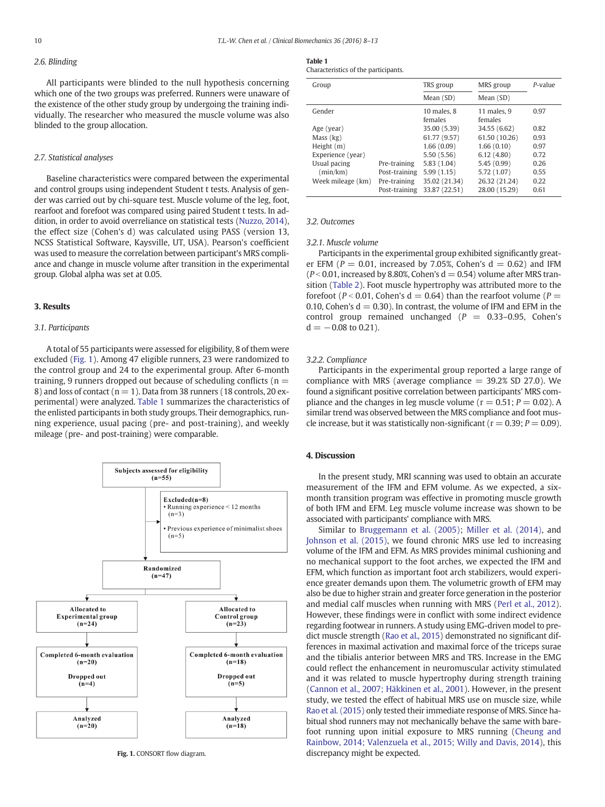#### 2.6. Blinding

All participants were blinded to the null hypothesis concerning which one of the two groups was preferred. Runners were unaware of the existence of the other study group by undergoing the training individually. The researcher who measured the muscle volume was also blinded to the group allocation.

#### 2.7. Statistical analyses

Baseline characteristics were compared between the experimental and control groups using independent Student t tests. Analysis of gender was carried out by chi-square test. Muscle volume of the leg, foot, rearfoot and forefoot was compared using paired Student t tests. In addition, in order to avoid overreliance on statistical tests [\(Nuzzo, 2014\)](#page-5-0), the effect size (Cohen's d) was calculated using PASS (version 13, NCSS Statistical Software, Kaysville, UT, USA). Pearson's coefficient was used to measure the correlation between participant's MRS compliance and change in muscle volume after transition in the experimental group. Global alpha was set at 0.05.

#### 3. Results

#### 3.1. Participants

A total of 55 participants were assessed for eligibility, 8 of them were excluded (Fig. 1). Among 47 eligible runners, 23 were randomized to the control group and 24 to the experimental group. After 6-month training, 9 runners dropped out because of scheduling conflicts ( $n =$ 8) and loss of contact ( $n = 1$ ). Data from 38 runners (18 controls, 20 experimental) were analyzed. Table 1 summarizes the characteristics of the enlisted participants in both study groups. Their demographics, running experience, usual pacing (pre- and post-training), and weekly mileage (pre- and post-training) were comparable.



### Table 1

| Characteristics of the participants. |  |
|--------------------------------------|--|
|--------------------------------------|--|

| Group             |               | TRS group                  | MRS group              | P-value |
|-------------------|---------------|----------------------------|------------------------|---------|
|                   |               | Mean (SD)                  | Mean (SD)              |         |
| Gender            |               | $10$ males, $8$<br>females | 11 males, 9<br>females | 0.97    |
| Age (year)        |               | 35.00 (5.39)               | 34.55 (6.62)           | 0.82    |
| Mass (kg)         |               | 61.77 (9.57)               | 61.50 (10.26)          | 0.93    |
| Height (m)        |               | 1.66(0.09)                 | 1.66(0.10)             | 0.97    |
| Experience (year) |               | 5.50(5.56)                 | 6.12(4.80)             | 0.72    |
| Usual pacing      | Pre-training  | 5.83(1.04)                 | 5.45(0.99)             | 0.26    |
| (min/km)          | Post-training | 5.99(1.15)                 | 5.72 (1.07)            | 0.55    |
| Week mileage (km) | Pre-training  | 35.02 (21.34)              | 26.32 (21.24)          | 0.22    |
|                   | Post-training | 33.87 (22.51)              | 28.00 (15.29)          | 0.61    |

#### 3.2. Outcomes

#### 3.2.1. Muscle volume

Participants in the experimental group exhibited significantly greater EFM ( $P = 0.01$ , increased by 7.05%, Cohen's  $d = 0.62$ ) and IFM  $(P < 0.01$ , increased by 8.80%, Cohen's d = 0.54) volume after MRS transition ([Table 2\)](#page-3-0). Foot muscle hypertrophy was attributed more to the forefoot ( $P < 0.01$ , Cohen's d = 0.64) than the rearfoot volume ( $P =$ 0.10, Cohen's  $d = 0.30$ ). In contrast, the volume of IFM and EFM in the control group remained unchanged  $(P = 0.33-0.95,$  Cohen's  $d = -0.08$  to 0.21).

#### 3.2.2. Compliance

Participants in the experimental group reported a large range of compliance with MRS (average compliance  $=$  39.2% SD 27.0). We found a significant positive correlation between participants' MRS compliance and the changes in leg muscle volume ( $r = 0.51$ ;  $P = 0.02$ ). A similar trend was observed between the MRS compliance and foot muscle increase, but it was statistically non-significant ( $r = 0.39$ ;  $P = 0.09$ ).

#### 4. Discussion

In the present study, MRI scanning was used to obtain an accurate measurement of the IFM and EFM volume. As we expected, a sixmonth transition program was effective in promoting muscle growth of both IFM and EFM. Leg muscle volume increase was shown to be associated with participants' compliance with MRS.

Similar to [Bruggemann et al. \(2005\)](#page-4-0); [Miller et al. \(2014\),](#page-4-0) and [Johnson et al. \(2015\)](#page-4-0), we found chronic MRS use led to increasing volume of the IFM and EFM. As MRS provides minimal cushioning and no mechanical support to the foot arches, we expected the IFM and EFM, which function as important foot arch stabilizers, would experience greater demands upon them. The volumetric growth of EFM may also be due to higher strain and greater force generation in the posterior and medial calf muscles when running with MRS ([Perl et al., 2012](#page-5-0)). However, these findings were in conflict with some indirect evidence regarding footwear in runners. A study using EMG-driven model to predict muscle strength ([Rao et al., 2015](#page-5-0)) demonstrated no significant differences in maximal activation and maximal force of the triceps surae and the tibialis anterior between MRS and TRS. Increase in the EMG could reflect the enhancement in neuromuscular activity stimulated and it was related to muscle hypertrophy during strength training [\(Cannon et al., 2007; Häkkinen et al., 2001](#page-4-0)). However, in the present study, we tested the effect of habitual MRS use on muscle size, while [Rao et al. \(2015\)](#page-5-0) only tested their immediate response of MRS. Since habitual shod runners may not mechanically behave the same with barefoot running upon initial exposure to MRS running [\(Cheung and](#page-4-0) [Rainbow, 2014; Valenzuela et al., 2015; Willy and Davis, 2014](#page-4-0)), this Fig. 1. CONSORT flow diagram.  $\qquad \qquad$  discrepancy might be expected.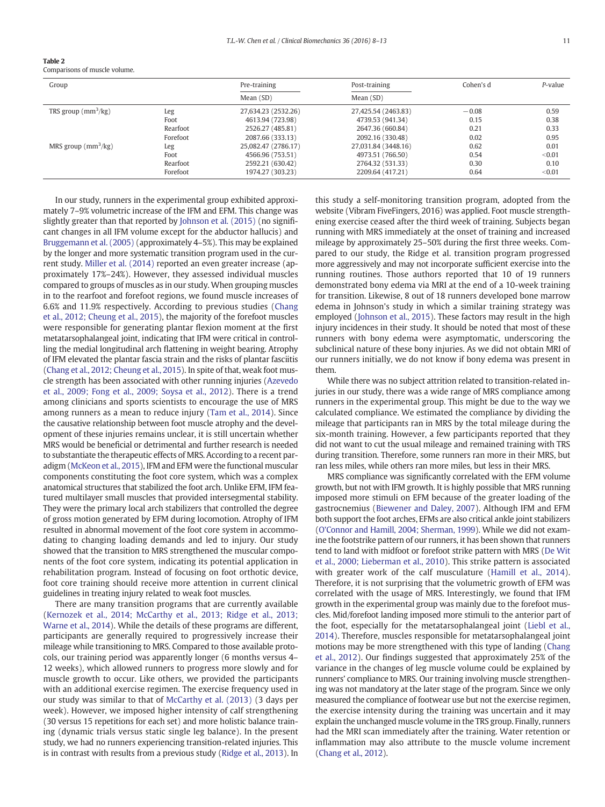<span id="page-3-0"></span>

| Table 2                     |  |
|-----------------------------|--|
| Comparisons of muscle ushin |  |

| Comparisons of muscle volume. |  |
|-------------------------------|--|
|-------------------------------|--|

| Group                             |          | Pre-training        | Post-training       | Cohen's d | $P$ -value |
|-----------------------------------|----------|---------------------|---------------------|-----------|------------|
|                                   |          | Mean $(SD)$         | Mean $(SD)$         |           |            |
| TRS group $\text{mm}^3/\text{kg}$ | Leg      | 27,634,23 (2532,26) | 27,425.54 (2463.83) | $-0.08$   | 0.59       |
|                                   | Foot     | 4613.94 (723.98)    | 4739.53 (941.34)    | 0.15      | 0.38       |
|                                   | Rearfoot | 2526.27 (485.81)    | 2647.36 (660.84)    | 0.21      | 0.33       |
|                                   | Forefoot | 2087.66 (333.13)    | 2092.16 (330.48)    | 0.02      | 0.95       |
| MRS group $(mm^3/kg)$             | Leg      | 25,082.47 (2786.17) | 27,031.84 (3448.16) | 0.62      | 0.01       |
|                                   | Foot     | 4566.96 (753.51)    | 4973.51 (766.50)    | 0.54      | < 0.01     |
|                                   | Rearfoot | 2592.21 (630.42)    | 2764.32 (531.33)    | 0.30      | 0.10       |
|                                   | Forefoot | 1974.27 (303.23)    | 2209.64 (417.21)    | 0.64      | < 0.01     |

In our study, runners in the experimental group exhibited approximately 7–9% volumetric increase of the IFM and EFM. This change was slightly greater than that reported by [Johnson et al. \(2015\)](#page-4-0) (no significant changes in all IFM volume except for the abductor hallucis) and [Bruggemann et al. \(2005\)](#page-4-0) (approximately 4–5%). This may be explained by the longer and more systematic transition program used in the current study. [Miller et al. \(2014\)](#page-4-0) reported an even greater increase (approximately 17%–24%). However, they assessed individual muscles compared to groups of muscles as in our study. When grouping muscles in to the rearfoot and forefoot regions, we found muscle increases of 6.6% and 11.9% respectively. According to previous studies ([Chang](#page-4-0) [et al., 2012; Cheung et al., 2015](#page-4-0)), the majority of the forefoot muscles were responsible for generating plantar flexion moment at the first metatarsophalangeal joint, indicating that IFM were critical in controlling the medial longitudinal arch flattening in weight bearing. Atrophy of IFM elevated the plantar fascia strain and the risks of plantar fasciitis [\(Chang et al., 2012; Cheung et al., 2015](#page-4-0)). In spite of that, weak foot muscle strength has been associated with other running injuries [\(Azevedo](#page-4-0) [et al., 2009; Fong et al., 2009; Soysa et al., 2012\)](#page-4-0). There is a trend among clinicians and sports scientists to encourage the use of MRS among runners as a mean to reduce injury [\(Tam et al., 2014](#page-5-0)). Since the causative relationship between foot muscle atrophy and the development of these injuries remains unclear, it is still uncertain whether MRS would be beneficial or detrimental and further research is needed to substantiate the therapeutic effects of MRS. According to a recent paradigm ([McKeon et al., 2015\)](#page-4-0), IFM and EFM were the functional muscular components constituting the foot core system, which was a complex anatomical structures that stabilized the foot arch. Unlike EFM, IFM featured multilayer small muscles that provided intersegmental stability. They were the primary local arch stabilizers that controlled the degree of gross motion generated by EFM during locomotion. Atrophy of IFM resulted in abnormal movement of the foot core system in accommodating to changing loading demands and led to injury. Our study showed that the transition to MRS strengthened the muscular components of the foot core system, indicating its potential application in rehabilitation program. Instead of focusing on foot orthotic device, foot core training should receive more attention in current clinical guidelines in treating injury related to weak foot muscles.

There are many transition programs that are currently available [\(Kernozek et al., 2014; McCarthy et al., 2013; Ridge et al., 2013;](#page-4-0) [Warne et al., 2014](#page-4-0)). While the details of these programs are different, participants are generally required to progressively increase their mileage while transitioning to MRS. Compared to those available protocols, our training period was apparently longer (6 months versus 4– 12 weeks), which allowed runners to progress more slowly and for muscle growth to occur. Like others, we provided the participants with an additional exercise regimen. The exercise frequency used in our study was similar to that of [McCarthy et al. \(2013\)](#page-4-0) (3 days per week). However, we imposed higher intensity of calf strengthening (30 versus 15 repetitions for each set) and more holistic balance training (dynamic trials versus static single leg balance). In the present study, we had no runners experiencing transition-related injuries. This is in contrast with results from a previous study [\(Ridge et al., 2013](#page-5-0)). In this study a self-monitoring transition program, adopted from the website (Vibram FiveFingers, 2016) was applied. Foot muscle strengthening exercise ceased after the third week of training. Subjects began running with MRS immediately at the onset of training and increased mileage by approximately 25–50% during the first three weeks. Compared to our study, the Ridge et al. transition program progressed more aggressively and may not incorporate sufficient exercise into the running routines. Those authors reported that 10 of 19 runners demonstrated bony edema via MRI at the end of a 10-week training for transition. Likewise, 8 out of 18 runners developed bone marrow edema in Johnson's study in which a similar training strategy was employed [\(Johnson et al., 2015\)](#page-4-0). These factors may result in the high injury incidences in their study. It should be noted that most of these runners with bony edema were asymptomatic, underscoring the subclinical nature of these bony injuries. As we did not obtain MRI of our runners initially, we do not know if bony edema was present in them.

While there was no subject attrition related to transition-related injuries in our study, there was a wide range of MRS compliance among runners in the experimental group. This might be due to the way we calculated compliance. We estimated the compliance by dividing the mileage that participants ran in MRS by the total mileage during the six-month training. However, a few participants reported that they did not want to cut the usual mileage and remained training with TRS during transition. Therefore, some runners ran more in their MRS, but ran less miles, while others ran more miles, but less in their MRS.

MRS compliance was significantly correlated with the EFM volume growth, but not with IFM growth. It is highly possible that MRS running imposed more stimuli on EFM because of the greater loading of the gastrocnemius [\(Biewener and Daley, 2007\)](#page-4-0). Although IFM and EFM both support the foot arches, EFMs are also critical ankle joint stabilizers [\(O'Connor and Hamill, 2004; Sherman, 1999\)](#page-5-0). While we did not examine the footstrike pattern of our runners, it has been shown that runners tend to land with midfoot or forefoot strike pattern with MRS [\(De Wit](#page-4-0) [et al., 2000; Lieberman et al., 2010\)](#page-4-0). This strike pattern is associated with greater work of the calf musculature [\(Hamill et al., 2014](#page-4-0)). Therefore, it is not surprising that the volumetric growth of EFM was correlated with the usage of MRS. Interestingly, we found that IFM growth in the experimental group was mainly due to the forefoot muscles. Mid/forefoot landing imposed more stimuli to the anterior part of the foot, especially for the metatarsophalangeal joint ([Liebl et al.,](#page-4-0) [2014\)](#page-4-0). Therefore, muscles responsible for metatarsophalangeal joint motions may be more strengthened with this type of landing ([Chang](#page-4-0) [et al., 2012\)](#page-4-0). Our findings suggested that approximately 25% of the variance in the changes of leg muscle volume could be explained by runners' compliance to MRS. Our training involving muscle strengthening was not mandatory at the later stage of the program. Since we only measured the compliance of footwear use but not the exercise regimen, the exercise intensity during the training was uncertain and it may explain the unchanged muscle volume in the TRS group. Finally, runners had the MRI scan immediately after the training. Water retention or inflammation may also attribute to the muscle volume increment [\(Chang et al., 2012\)](#page-4-0).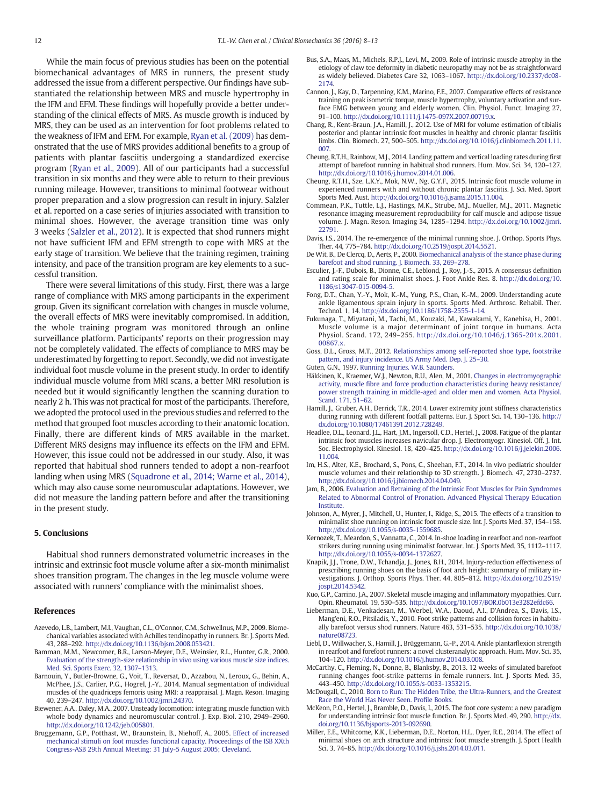<span id="page-4-0"></span>While the main focus of previous studies has been on the potential biomechanical advantages of MRS in runners, the present study addressed the issue from a different perspective. Our findings have substantiated the relationship between MRS and muscle hypertrophy in the IFM and EFM. These findings will hopefully provide a better understanding of the clinical effects of MRS. As muscle growth is induced by MRS, they can be used as an intervention for foot problems related to the weakness of IFM and EFM. For example, [Ryan et al. \(2009\)](#page-5-0) has demonstrated that the use of MRS provides additional benefits to a group of patients with plantar fasciitis undergoing a standardized exercise program ([Ryan et al., 2009](#page-5-0)). All of our participants had a successful transition in six months and they were able to return to their previous running mileage. However, transitions to minimal footwear without proper preparation and a slow progression can result in injury. Salzler et al. reported on a case series of injuries associated with transition to minimal shoes. However, the average transition time was only 3 weeks ([Salzler et al., 2012](#page-5-0)). It is expected that shod runners might not have sufficient IFM and EFM strength to cope with MRS at the early stage of transition. We believe that the training regimen, training intensity, and pace of the transition program are key elements to a successful transition.

There were several limitations of this study. First, there was a large range of compliance with MRS among participants in the experiment group. Given its significant correlation with changes in muscle volume, the overall effects of MRS were inevitably compromised. In addition, the whole training program was monitored through an online surveillance platform. Participants' reports on their progression may not be completely validated. The effects of compliance to MRS may be underestimated by forgetting to report. Secondly, we did not investigate individual foot muscle volume in the present study. In order to identify individual muscle volume from MRI scans, a better MRI resolution is needed but it would significantly lengthen the scanning duration to nearly 2 h. This was not practical for most of the participants. Therefore, we adopted the protocol used in the previous studies and referred to the method that grouped foot muscles according to their anatomic location. Finally, there are different kinds of MRS available in the market. Different MRS designs may influence its effects on the IFM and EFM. However, this issue could not be addressed in our study. Also, it was reported that habitual shod runners tended to adopt a non-rearfoot landing when using MRS [\(Squadrone et al., 2014; Warne et al., 2014](#page-5-0)), which may also cause some neuromuscular adaptations. However, we did not measure the landing pattern before and after the transitioning in the present study.

#### 5. Conclusions

Habitual shod runners demonstrated volumetric increases in the intrinsic and extrinsic foot muscle volume after a six-month minimalist shoes transition program. The changes in the leg muscle volume were associated with runners' compliance with the minimalist shoes.

#### References

- Azevedo, L.B., Lambert, M.I., Vaughan, C.L., O'Connor, C.M., Schwellnus, M.P., 2009. Biomechanical variables associated with Achilles tendinopathy in runners. Br. J. Sports Med. 43, 288–292. http://dx.doi.org[/10.1136/bjsm.2008.053421](http://dx.doi.org/10.1136/bjsm.2008.053421).
- Bamman, M.M., Newcomer, B.R., Larson-Meyer, D.E., Weinsier, R.L., Hunter, G.R., 2000. [Evaluation of the strength-size relationship in vivo using various muscle size indices.](http://refhub.elsevier.com/S0268-0033(16)30067-5/rf0010) [Med. Sci. Sports Exerc. 32, 1307](http://refhub.elsevier.com/S0268-0033(16)30067-5/rf0010)–1313.
- Barnouin, Y., Butler-Browne, G., Voit, T., Reversat, D., Azzabou, N., Leroux, G., Behin, A., McPhee, J.S., Carlier, P.G., Hogrel, J.-Y., 2014. Manual segmentation of individual muscles of the quadriceps femoris using MRI: a reappraisal. J. Magn. Reson. Imaging 40, 239–247. http://dx.doi.org[/10.1002/jmri.24370.](http://dx.doi.org/10.1002/jmri.24370)
- Biewener, A.A., Daley, M.A., 2007. Unsteady locomotion: integrating muscle function with whole body dynamics and neuromuscular control. J. Exp. Biol. 210, 2949–2960. http://dx.doi.org[/10.1242/jeb.005801.](http://dx.doi.org/10.1242/jeb.005801)
- Bruggemann, G.P., Potthast, W., Braunstein, B., Niehoff, A., 2005. [Effect of increased](http://refhub.elsevier.com/S0268-0033(16)30067-5/rf0025) [mechanical stimuli on foot muscles functional capacity. Proceedings of the ISB XXth](http://refhub.elsevier.com/S0268-0033(16)30067-5/rf0025) [Congress-ASB 29th Annual Meeting: 31 July-5 August 2005; Cleveland](http://refhub.elsevier.com/S0268-0033(16)30067-5/rf0025).
- Bus, S.A., Maas, M., Michels, R.P.J., Levi, M., 2009. Role of intrinsic muscle atrophy in the etiology of claw toe deformity in diabetic neuropathy may not be as straightforward as widely believed. Diabetes Care 32, 1063–1067. http://dx.doi.org[/10.2337/dc08-](http://dx.doi.org/10.2337/dc08-2174) [2174.](http://dx.doi.org/10.2337/dc08-2174)
- Cannon, J., Kay, D., Tarpenning, K.M., Marino, F.E., 2007. Comparative effects of resistance training on peak isometric torque, muscle hypertrophy, voluntary activation and surface EMG between young and elderly women. Clin. Physiol. Funct. Imaging 27 91–100. http://dx.doi.org[/10.1111/j.1475-097X.2007.00719.x](http://dx.doi.org/10.1111/j.1475-097X.2007.00719.x).
- Chang, R., Kent-Braun, J.A., Hamill, J., 2012. Use of MRI for volume estimation of tibialis posterior and plantar intrinsic foot muscles in healthy and chronic plantar fasciitis limbs. Clin. Biomech. 27, 500–505. http://dx.doi.org/[10.1016/j.clinbiomech.2011.11.](http://dx.doi.org/10.1016/j.clinbiomech.2011.11.007) [007](http://dx.doi.org/10.1016/j.clinbiomech.2011.11.007).
- Cheung, R.T.H., Rainbow, M.J., 2014. Landing pattern and vertical loading rates during first attempt of barefoot running in habitual shod runners. Hum. Mov. Sci. 34, 120–127. http://dx.doi.org[/10.1016/j.humov.2014.01.006.](http://dx.doi.org/10.1016/j.humov.2014.01.006)
- Cheung, R.T.H., Sze, L.K.Y., Mok, N.W., Ng, G.Y.F., 2015. Intrinsic foot muscle volume in experienced runners with and without chronic plantar fasciitis. J. Sci. Med. Sport Sports Med. Aust. http://dx.doi.org[/10.1016/j.jsams.2015.11.004](http://dx.doi.org/10.1016/j.jsams.2015.11.004).
- Commean, P.K., Tuttle, L.J., Hastings, M.K., Strube, M.J., Mueller, M.J., 2011. Magnetic resonance imaging measurement reproducibility for calf muscle and adipose tissue volume. J. Magn. Reson. Imaging 34, 1285–1294. http://dx.doi.org/[10.1002/jmri.](http://dx.doi.org/10.1002/jmri.22791) [22791](http://dx.doi.org/10.1002/jmri.22791).
- Davis, I.S., 2014. The re-emergence of the minimal running shoe. J. Orthop. Sports Phys. Ther. 44, 775–784. http://dx.doi.org[/10.2519/jospt.2014.5521](http://dx.doi.org/10.2519/jospt.2014.5521).
- De Wit, B., De Clercq, D., Aerts, P., 2000. [Biomechanical analysis of the stance phase during](http://refhub.elsevier.com/S0268-0033(16)30067-5/rf0065) [barefoot and shod running. J. Biomech. 33, 269](http://refhub.elsevier.com/S0268-0033(16)30067-5/rf0065)–278.
- Esculier, J.-F., Dubois, B., Dionne, C.E., Leblond, J., Roy, J.-S., 2015. A consensus definition and rating scale for minimalist shoes. J. Foot Ankle Res. 8. http://dx.doi.org/[10.](http://dx.doi.org/10.1186/s13047-015-0094-5) [1186/s13047-015-0094-5.](http://dx.doi.org/10.1186/s13047-015-0094-5)
- Fong, D.T., Chan, Y.-Y., Mok, K.-M., Yung, P.S., Chan, K.-M., 2009. Understanding acute ankle ligamentous sprain injury in sports. Sports Med. Arthrosc. Rehabil. Ther. Technol. 1, 14. http://dx.doi.org[/10.1186/1758-2555-1-14.](http://dx.doi.org/10.1186/1758-2555-1-14)
- Fukunaga, T., Miyatani, M., Tachi, M., Kouzaki, M., Kawakami, Y., Kanehisa, H., 2001. Muscle volume is a major determinant of joint torque in humans. Acta Physiol. Scand. 172, 249–255. http://dx.doi.org/[10.1046/j.1365-201x.2001.](http://dx.doi.org/10.1046/j.1365-201x.2001.00867.x) [00867.x](http://dx.doi.org/10.1046/j.1365-201x.2001.00867.x).
- Goss, D.L., Gross, M.T., 2012. [Relationships among self-reported shoe type, footstrike](http://refhub.elsevier.com/S0268-0033(16)30067-5/rf0085) [pattern, and injury incidence. US Army Med. Dep. J. 25](http://refhub.elsevier.com/S0268-0033(16)30067-5/rf0085)–30.
- Guten, G.N., 1997. [Running Injuries. W.B. Saunders.](http://refhub.elsevier.com/S0268-0033(16)30067-5/rf0090)
- Häkkinen, K., Kraemer, W.J., Newton, R.U., Alen, M., 2001. [Changes in electromyographic](http://refhub.elsevier.com/S0268-0033(16)30067-5/rf0095) activity, muscle fi[bre and force production characteristics during heavy resistance/](http://refhub.elsevier.com/S0268-0033(16)30067-5/rf0095) [power strength training in middle-aged and older men and women. Acta Physiol.](http://refhub.elsevier.com/S0268-0033(16)30067-5/rf0095) [Scand. 171, 51](http://refhub.elsevier.com/S0268-0033(16)30067-5/rf0095)–62.
- Hamill, J., Gruber, A.H., Derrick, T.R., 2014. Lower extremity joint stiffness characteristics during running with different footfall patterns. Eur. J. Sport Sci. 14, 130–136. http:// dx.doi.org[/10.1080/17461391.2012.728249.](http://dx.doi.org/10.1080/17461391.2012.728249)
- Headlee, D.L., Leonard, J.L., Hart, J.M., Ingersoll, C.D., Hertel, J., 2008. Fatigue of the plantar intrinsic foot muscles increases navicular drop. J. Electromyogr. Kinesiol. Off. J. Int. Soc. Electrophysiol. Kinesiol. 18, 420–425. http://dx.doi.org[/10.1016/j.jelekin.2006.](http://dx.doi.org/10.1016/j.jelekin.2006.11.004) [11.004.](http://dx.doi.org/10.1016/j.jelekin.2006.11.004)
- Im, H.S., Alter, K.E., Brochard, S., Pons, C., Sheehan, F.T., 2014. In vivo pediatric shoulder muscle volumes and their relationship to 3D strength. J. Biomech. 47, 2730–2737. http://dx.doi.org[/10.1016/j.jbiomech.2014.04.049.](http://dx.doi.org/10.1016/j.jbiomech.2014.04.049)
- Jam, B., 2006. [Evaluation and Retraining of the Intrinsic Foot Muscles for Pain Syndromes](http://refhub.elsevier.com/S0268-0033(16)30067-5/rf0115) [Related to Abnormal Control of Pronation. Advanced Physical Therapy Education](http://refhub.elsevier.com/S0268-0033(16)30067-5/rf0115) [Institute](http://refhub.elsevier.com/S0268-0033(16)30067-5/rf0115).
- Johnson, A., Myrer, J., Mitchell, U., Hunter, I., Ridge, S., 2015. The effects of a transition to minimalist shoe running on intrinsic foot muscle size. Int. J. Sports Med. 37, 154–158. http://dx.doi.org[/10.1055/s-0035-1559685](http://dx.doi.org/10.1055/s-0035-1559685).
- Kernozek, T., Meardon, S., Vannatta, C., 2014. In-shoe loading in rearfoot and non-rearfoot strikers during running using minimalist footwear. Int. J. Sports Med. 35, 1112–1117. http://dx.doi.org[/10.1055/s-0034-1372627](http://dx.doi.org/10.1055/s-0034-1372627).
- Knapik, J.J., Trone, D.W., Tchandja, J., Jones, B.H., 2014. Injury-reduction effectiveness of prescribing running shoes on the basis of foot arch height: summary of military investigations. J. Orthop. Sports Phys. Ther. 44, 805–812. http://dx.doi.org/[10.2519/](http://dx.doi.org/10.2519/jospt.2014.5342) [jospt.2014.5342.](http://dx.doi.org/10.2519/jospt.2014.5342)
- Kuo, G.P., Carrino, J.A., 2007. Skeletal muscle imaging and inflammatory myopathies. Curr. Opin. Rheumatol. 19, 530–535. http://dx.doi.org[/10.1097/BOR.0b013e3282efdc66](http://dx.doi.org/10.1097/BOR.0b013e3282efdc66).
- Lieberman, D.E., Venkadesan, M., Werbel, W.A., Daoud, A.I., D'Andrea, S., Davis, I.S., Mang'eni, R.O., Pitsiladis, Y., 2010. Foot strike patterns and collision forces in habitually barefoot versus shod runners. Nature 463, 531–535. http://dx.doi.org[/10.1038/](http://dx.doi.org/10.1038/nature08723) [nature08723.](http://dx.doi.org/10.1038/nature08723)
- Liebl, D., Willwacher, S., Hamill, J., Brüggemann, G.-P., 2014. Ankle plantarflexion strength in rearfoot and forefoot runners: a novel clusteranalytic approach. Hum. Mov. Sci. 35, 104–120. http://dx.doi.org/[10.1016/j.humov.2014.03.008.](http://dx.doi.org/10.1016/j.humov.2014.03.008)
- McCarthy, C., Fleming, N., Donne, B., Blanksby, B., 2013. 12 weeks of simulated barefoot running changes foot-strike patterns in female runners. Int. J. Sports Med. 35, 443–450. http://dx.doi.org/[10.1055/s-0033-1353215](http://dx.doi.org/10.1055/s-0033-1353215).
- McDougall, C., 2010. [Born to Run: The Hidden Tribe, the Ultra-Runners, and the Greatest](http://refhub.elsevier.com/S0268-0033(16)30067-5/rf0155) [Race the World Has Never Seen. Pro](http://refhub.elsevier.com/S0268-0033(16)30067-5/rf0155)file Books.
- McKeon, P.O., Hertel, J., Bramble, D., Davis, I., 2015. The foot core system: a new paradigm for understanding intrinsic foot muscle function. Br. J. Sports Med. 49, 290. http://dx. doi.org/[10.1136/bjsports-2013-092690.](http://dx.doi.org/10.1136/bjsports-2013-092690)
- Miller, E.E., Whitcome, K.K., Lieberman, D.E., Norton, H.L., Dyer, R.E., 2014. The effect of minimal shoes on arch structure and intrinsic foot muscle strength. J. Sport Health Sci. 3, 74–85. http://dx.doi.org[/10.1016/j.jshs.2014.03.011.](http://dx.doi.org/10.1016/j.jshs.2014.03.011)